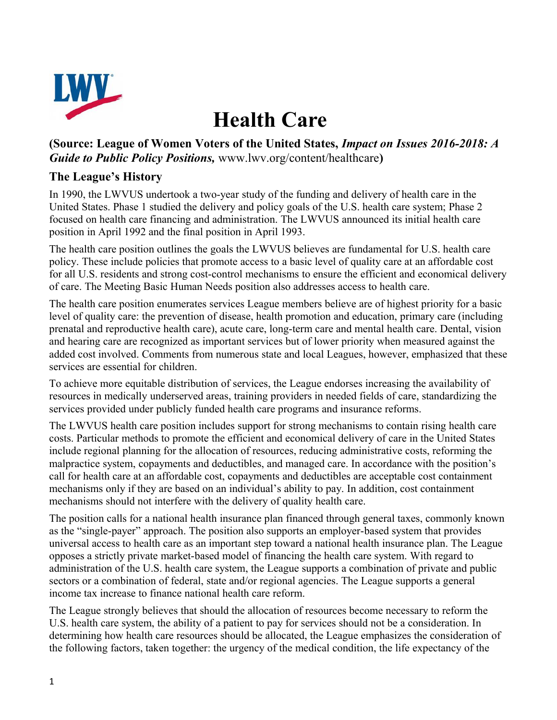

## **Health Care**

## **(Source: League of Women Voters of the United States,** *Impact on Issues 2016-2018: A Guide to Public Policy Positions,* www.lwv.org/content/healthcare**)**

## **The League's History**

In 1990, the LWVUS undertook a two-year study of the funding and delivery of health care in the United States. Phase 1 studied the delivery and policy goals of the U.S. health care system; Phase 2 focused on health care financing and administration. The LWVUS announced its initial health care position in April 1992 and the final position in April 1993.

The health care position outlines the goals the LWVUS believes are fundamental for U.S. health care policy. These include policies that promote access to a basic level of quality care at an affordable cost for all U.S. residents and strong cost-control mechanisms to ensure the efficient and economical delivery of care. The Meeting Basic Human Needs position also addresses access to health care.

The health care position enumerates services League members believe are of highest priority for a basic level of quality care: the prevention of disease, health promotion and education, primary care (including prenatal and reproductive health care), acute care, long-term care and mental health care. Dental, vision and hearing care are recognized as important services but of lower priority when measured against the added cost involved. Comments from numerous state and local Leagues, however, emphasized that these services are essential for children.

To achieve more equitable distribution of services, the League endorses increasing the availability of resources in medically underserved areas, training providers in needed fields of care, standardizing the services provided under publicly funded health care programs and insurance reforms.

The LWVUS health care position includes support for strong mechanisms to contain rising health care costs. Particular methods to promote the efficient and economical delivery of care in the United States include regional planning for the allocation of resources, reducing administrative costs, reforming the malpractice system, copayments and deductibles, and managed care. In accordance with the position's call for health care at an affordable cost, copayments and deductibles are acceptable cost containment mechanisms only if they are based on an individual's ability to pay. In addition, cost containment mechanisms should not interfere with the delivery of quality health care.

The position calls for a national health insurance plan financed through general taxes, commonly known as the "single-payer" approach. The position also supports an employer-based system that provides universal access to health care as an important step toward a national health insurance plan. The League opposes a strictly private market-based model of financing the health care system. With regard to administration of the U.S. health care system, the League supports a combination of private and public sectors or a combination of federal, state and/or regional agencies. The League supports a general income tax increase to finance national health care reform.

The League strongly believes that should the allocation of resources become necessary to reform the U.S. health care system, the ability of a patient to pay for services should not be a consideration. In determining how health care resources should be allocated, the League emphasizes the consideration of the following factors, taken together: the urgency of the medical condition, the life expectancy of the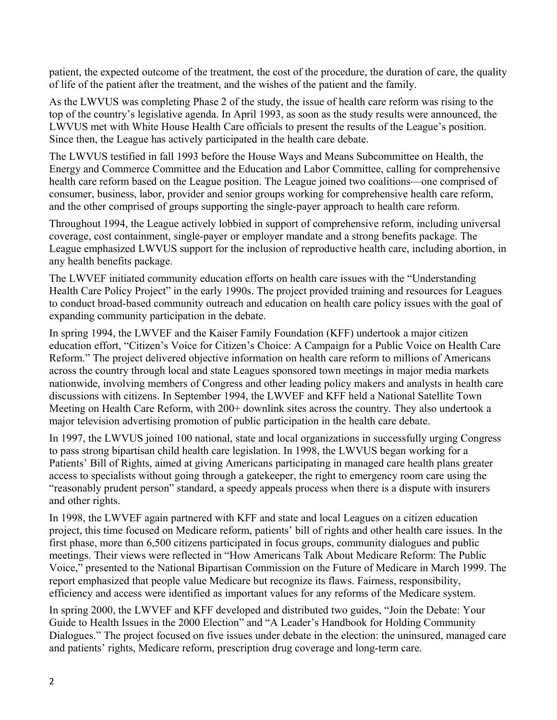patient, the expected outcome of the treatment, the cost of the procedure, the duration of care, the quality of life of the patient after the treatment, and the wishes of the patient and the family.

As the LWVUS was completing Phase 2 of the study, the issue of health care reform was rising to the top of the country's legislative agenda. In April 1993, as soon as the study results were announced, the LWVUS met with White House Health Care officials to present the results of the League's position. Since then, the League has actively participated in the health care debate.

The LWVUS testified in fall 1993 before the House Ways and Means Subcommittee on Health, the Energy and Commerce Committee and the Education and Labor Committee, calling for comprehensive health care reform based on the League position. The League joined two coalitions—one comprised of consumer, business, labor, provider and senior groups working for comprehensive health care reform, and the other comprised of groups supporting the single-payer approach to health care reform.

Throughout 1994, the League actively lobbied in support of comprehensive reform, including universal coverage, cost containment, single-payer or employer mandate and a strong benefits package. The League emphasized LWVUS support for the inclusion of reproductive health care, including abortion, in any health benefits package.

The LWVEF initiated community education efforts on health care issues with the "Understanding Health Care Policy Project" in the early 1990s. The project provided training and resources for Leagues to conduct broad-based community outreach and education on health care policy issues with the goal of expanding community participation in the debate.

In spring 1994, the LWVEF and the Kaiser Family Foundation (KFF) undertook a major citizen education effort, "Citizen's Voice for Citizen's Choice: A Campaign for a Public Voice on Health Care Reform." The project delivered objective information on health care reform to millions of Americans across the country through local and state Leagues sponsored town meetings in major media markets nationwide, involving members of Congress and other leading policy makers and analysts in health care discussions with citizens. In September 1994, the LWVEF and KFF held a National Satellite Town Meeting on Health Care Reform, with 200+ downlink sites across the country. They also undertook a major television advertising promotion of public participation in the health care debate.

In 1997, the LWVUS joined 100 national, state and local organizations in successfully urging Congress to pass strong bipartisan child health care legislation. In 1998, the LWVUS began working for a Patients' Bill of Rights, aimed at giving Americans participating in managed care health plans greater access to specialists without going through a gatekeeper, the right to emergency room care using the "reasonably prudent person" standard, a speedy appeals process when there is a dispute with insurers and other rights.

In 1998, the LWVEF again partnered with KFF and state and local Leagues on a citizen education project, this time focused on Medicare reform, patients' bill of rights and other health care issues. In the first phase, more than 6,500 citizens participated in focus groups, community dialogues and public meetings. Their views were reflected in "How Americans Talk About Medicare Reform: The Public Voice," presented to the National Bipartisan Commission on the Future of Medicare in March 1999. The report emphasized that people value Medicare but recognize its flaws. Fairness, responsibility, efficiency and access were identified as important values for any reforms of the Medicare system.

In spring 2000, the LWVEF and KFF developed and distributed two guides, "Join the Debate: Your Guide to Health Issues in the 2000 Election" and "A Leader's Handbook for Holding Community Dialogues." The project focused on five issues under debate in the election: the uninsured, managed care and patients' rights, Medicare reform, prescription drug coverage and long-term care.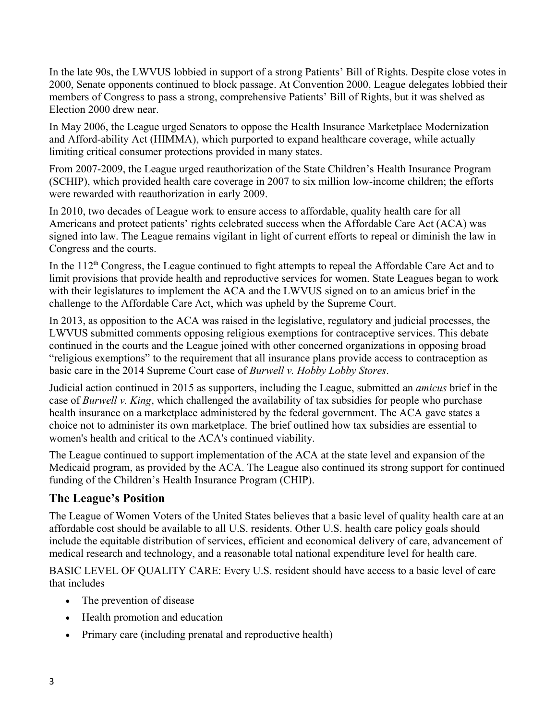In the late 90s, the LWVUS lobbied in support of a strong Patients' Bill of Rights. Despite close votes in 2000, Senate opponents continued to block passage. At Convention 2000, League delegates lobbied their members of Congress to pass a strong, comprehensive Patients' Bill of Rights, but it was shelved as Election 2000 drew near.

In May 2006, the League urged Senators to oppose the Health Insurance Marketplace Modernization and Afford-ability Act (HIMMA), which purported to expand healthcare coverage, while actually limiting critical consumer protections provided in many states.

From 2007-2009, the League urged reauthorization of the State Children's Health Insurance Program (SCHIP), which provided health care coverage in 2007 to six million low-income children; the efforts were rewarded with reauthorization in early 2009.

In 2010, two decades of League work to ensure access to affordable, quality health care for all Americans and protect patients' rights celebrated success when the Affordable Care Act (ACA) was signed into law. The League remains vigilant in light of current efforts to repeal or diminish the law in Congress and the courts.

In the  $112<sup>th</sup>$  Congress, the League continued to fight attempts to repeal the Affordable Care Act and to limit provisions that provide health and reproductive services for women. State Leagues began to work with their legislatures to implement the ACA and the LWVUS signed on to an amicus brief in the challenge to the Affordable Care Act, which was upheld by the Supreme Court.

In 2013, as opposition to the ACA was raised in the legislative, regulatory and judicial processes, the LWVUS submitted comments opposing religious exemptions for contraceptive services. This debate continued in the courts and the League joined with other concerned organizations in opposing broad "religious exemptions" to the requirement that all insurance plans provide access to contraception as basic care in the 2014 Supreme Court case of *Burwell v. Hobby Lobby Stores*.

Judicial action continued in 2015 as supporters, including the League, submitted an *amicus* brief in the case of *Burwell v. King*, which challenged the availability of tax subsidies for people who purchase health insurance on a marketplace administered by the federal government. The ACA gave states a choice not to administer its own marketplace. The brief outlined how tax subsidies are essential to women's health and critical to the ACA's continued viability.

The League continued to support implementation of the ACA at the state level and expansion of the Medicaid program, as provided by the ACA. The League also continued its strong support for continued funding of the Children's Health Insurance Program (CHIP).

## **The League's Position**

The League of Women Voters of the United States believes that a basic level of quality health care at an affordable cost should be available to all U.S. residents. Other U.S. health care policy goals should include the equitable distribution of services, efficient and economical delivery of care, advancement of medical research and technology, and a reasonable total national expenditure level for health care.

BASIC LEVEL OF QUALITY CARE: Every U.S. resident should have access to a basic level of care that includes

- The prevention of disease
- Health promotion and education
- Primary care (including prenatal and reproductive health)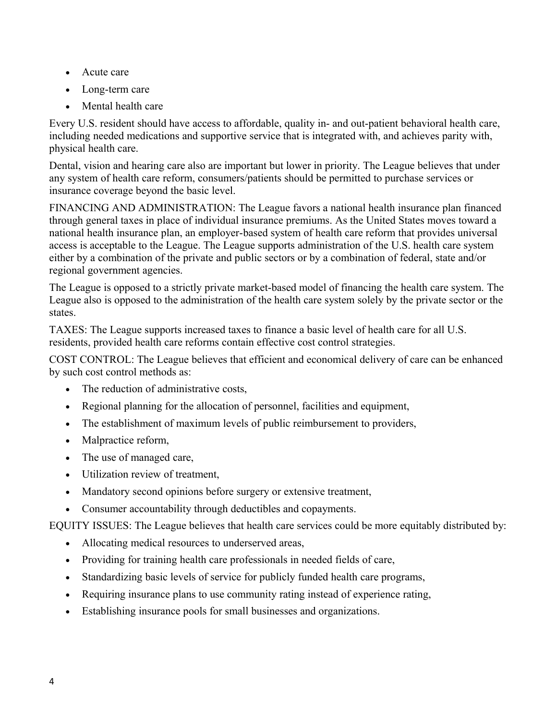- Acute care
- Long-term care
- Mental health care

Every U.S. resident should have access to affordable, quality in- and out-patient behavioral health care, including needed medications and supportive service that is integrated with, and achieves parity with, physical health care.

Dental, vision and hearing care also are important but lower in priority. The League believes that under any system of health care reform, consumers/patients should be permitted to purchase services or insurance coverage beyond the basic level.

FINANCING AND ADMINISTRATION: The League favors a national health insurance plan financed through general taxes in place of individual insurance premiums. As the United States moves toward a national health insurance plan, an employer-based system of health care reform that provides universal access is acceptable to the League. The League supports administration of the U.S. health care system either by a combination of the private and public sectors or by a combination of federal, state and/or regional government agencies.

The League is opposed to a strictly private market-based model of financing the health care system. The League also is opposed to the administration of the health care system solely by the private sector or the states.

TAXES: The League supports increased taxes to finance a basic level of health care for all U.S. residents, provided health care reforms contain effective cost control strategies.

COST CONTROL: The League believes that efficient and economical delivery of care can be enhanced by such cost control methods as:

- The reduction of administrative costs,
- Regional planning for the allocation of personnel, facilities and equipment,
- The establishment of maximum levels of public reimbursement to providers,
- Malpractice reform,
- The use of managed care,
- Utilization review of treatment,
- Mandatory second opinions before surgery or extensive treatment,
- Consumer accountability through deductibles and copayments.

EQUITY ISSUES: The League believes that health care services could be more equitably distributed by:

- Allocating medical resources to underserved areas,
- Providing for training health care professionals in needed fields of care,
- Standardizing basic levels of service for publicly funded health care programs,
- Requiring insurance plans to use community rating instead of experience rating,
- Establishing insurance pools for small businesses and organizations.